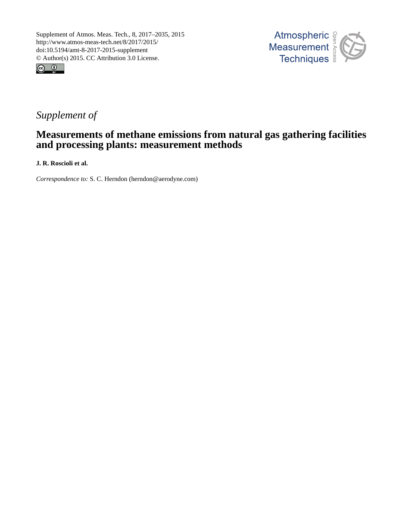



# *Supplement of*

## **Measurements of methane emissions from natural gas gathering facilities and processing plants: measurement methods**

**J. R. Roscioli et al.**

*Correspondence to:* S. C. Herndon (herndon@aerodyne.com)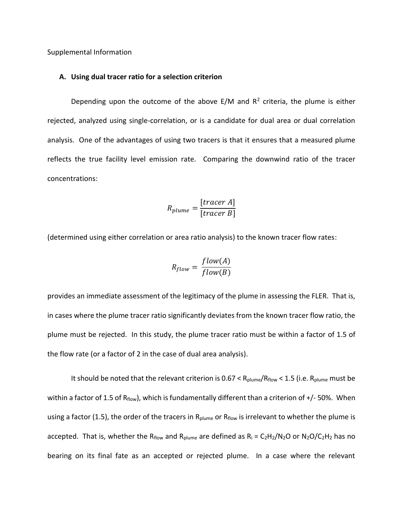Supplemental Information

#### **A. Using dual tracer ratio for a selection criterion**

Depending upon the outcome of the above  $E/M$  and  $R^2$  criteria, the plume is either rejected, analyzed using single-correlation, or is a candidate for dual area or dual correlation analysis. One of the advantages of using two tracers is that it ensures that a measured plume reflects the true facility level emission rate. Comparing the downwind ratio of the tracer concentrations:

$$
R_{plume} = \frac{[tracer A]}{[tracer B]}
$$

(determined using either correlation or area ratio analysis) to the known tracer flow rates:

$$
R_{flow} = \frac{flow(A)}{flow(B)}
$$

provides an immediate assessment of the legitimacy of the plume in assessing the FLER. That is, in cases where the plume tracer ratio significantly deviates from the known tracer flow ratio, the plume must be rejected. In this study, the plume tracer ratio must be within a factor of 1.5 of the flow rate (or a factor of 2 in the case of dual area analysis).

It should be noted that the relevant criterion is  $0.67 < R_{\text{plume}}/R_{\text{flow}} < 1.5$  (i.e.  $R_{\text{plume}}$  must be within a factor of 1.5 of  $R_{flow}$ ), which is fundamentally different than a criterion of  $+/-50$ %. When using a factor (1.5), the order of the tracers in R<sub>plume</sub> or R<sub>flow</sub> is irrelevant to whether the plume is accepted. That is, whether the R<sub>flow</sub> and R<sub>plume</sub> are defined as  $R_i = C_2H_2/N_2O$  or  $N_2O/C_2H_2$  has no bearing on its final fate as an accepted or rejected plume. In a case where the relevant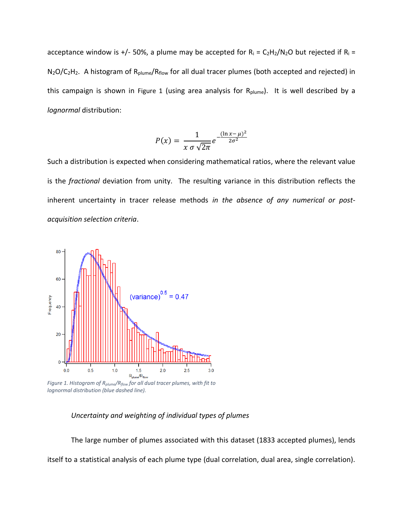acceptance window is +/- 50%, a plume may be accepted for  $R_i = C_2H_2/N_2O$  but rejected if  $R_i =$ N<sub>2</sub>O/C<sub>2</sub>H<sub>2</sub>. A histogram of R<sub>plume</sub>/R<sub>flow</sub> for all dual tracer plumes (both accepted and rejected) in this campaign is shown in Figure 1 (using area analysis for R<sub>plume</sub>). It is well described by a *lognormal* distribution:

$$
P(x) = \frac{1}{x \sigma \sqrt{2\pi}} e^{-\frac{(\ln x - \mu)^2}{2\sigma^2}}
$$

Such a distribution is expected when considering mathematical ratios, where the relevant value is the *fractional* deviation from unity. The resulting variance in this distribution reflects the inherent uncertainty in tracer release methods *in the absence of any numerical or postacquisition selection criteria*.



*Figure 1. Histogram of Rplume/Rflow for all dual tracer plumes, with fit to lognormal distribution (blue dashed line).* 

## *Uncertainty and weighting of individual types of plumes*

The large number of plumes associated with this dataset (1833 accepted plumes), lends itself to a statistical analysis of each plume type (dual correlation, dual area, single correlation).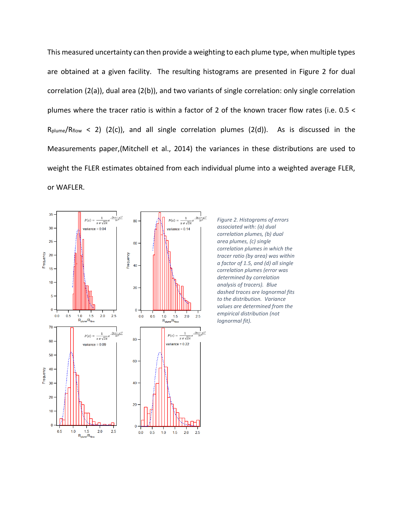This measured uncertainty can then provide a weighting to each plume type, when multiple types are obtained at a given facility. The resulting histograms are presented in Figure 2 for dual correlation (2(a)), dual area (2(b)), and two variants of single correlation: only single correlation plumes where the tracer ratio is within a factor of 2 of the known tracer flow rates (i.e. 0.5 <  $R_{\text{plume}}/R_{\text{flow}} < 2$ ) (2(c)), and all single correlation plumes (2(d)). As is discussed in the Measurements paper,(Mitchell et al., 2014) the variances in these distributions are used to weight the FLER estimates obtained from each individual plume into a weighted average FLER, or WAFLER.



*Figure 2. Histograms of errors associated with: (a) dual correlation plumes, (b) dual area plumes, (c) single correlation plumes in which the tracer ratio (by area) was within a factor of 1.5, and (d) all single correlation plumes (error was determined by correlation analysis of tracers). Blue dashed traces are lognormal fits to the distribution. Variance values are determined from the empirical distribution (not lognormal fit).*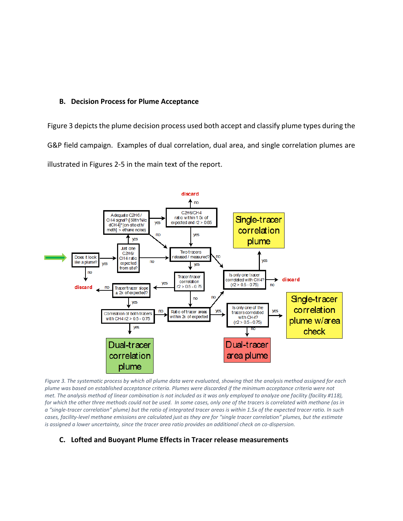## **B. Decision Process for Plume Acceptance**

Figure 3 depicts the plume decision process used both accept and classify plume types during the G&P field campaign. Examples of dual correlation, dual area, and single correlation plumes are illustrated in Figures 2-5 in the main text of the report.



*Figure 3. The systematic process by which all plume data were evaluated, showing that the analysis method assigned for each plume was based on established acceptance criteria. Plumes were discarded if the minimum acceptance criteria were not met. The analysis method of linear combination is not included as it was only employed to analyze one facility (facility #118), for which the other three methods could not be used. In some cases, only one of the tracers is correlated with methane (as in a "single-tracer correlation" plume) but the ratio of integrated tracer areas is within 1.5x of the expected tracer ratio. In such cases, facility-level methane emissions are calculated just as they are for "single tracer correlation" plumes, but the estimate is assigned a lower uncertainty, since the tracer area ratio provides an additional check on co-dispersion.*

## **C. Lofted and Buoyant Plume Effects in Tracer release measurements**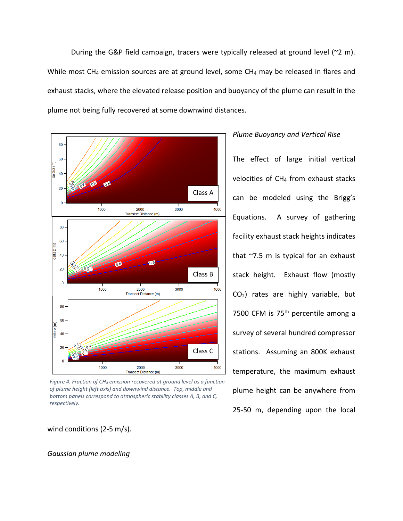During the G&P field campaign, tracers were typically released at ground level (~2 m). While most CH<sub>4</sub> emission sources are at ground level, some CH<sub>4</sub> may be released in flares and exhaust stacks, where the elevated release position and buoyancy of the plume can result in the plume not being fully recovered at some downwind distances.



*Figure 4. Fraction of CH<sup>4</sup> emission recovered at ground level as a function of plume height (left axis) and downwind distance. Top, middle and bottom panels correspond to atmospheric stability classes A, B, and C, respectively.*

wind conditions (2-5 m/s).

#### *Gaussian plume modeling*

#### *Plume Buoyancy and Vertical Rise*

The effect of large initial vertical velocities of CH<sup>4</sup> from exhaust stacks can be modeled using the Brigg's Equations. A survey of gathering facility exhaust stack heights indicates that ~7.5 m is typical for an exhaust stack height. Exhaust flow (mostly CO2) rates are highly variable, but 7500 CFM is 75<sup>th</sup> percentile among a survey of several hundred compressor stations. Assuming an 800K exhaust temperature, the maximum exhaust plume height can be anywhere from 25-50 m, depending upon the local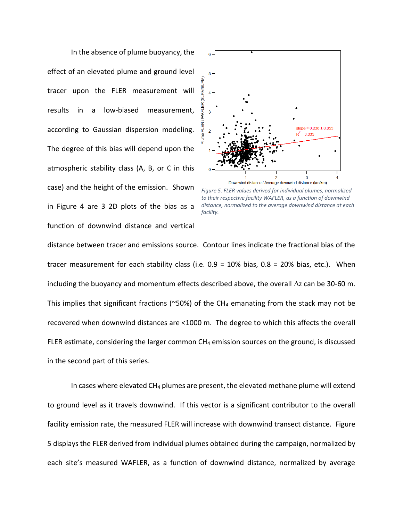In the absence of plume buoyancy, the effect of an elevated plume and ground level tracer upon the FLER measurement will results in a low-biased measurement, according to Gaussian dispersion modeling. The degree of this bias will depend upon the atmospheric stability class (A, B, or C in this case) and the height of the emission. Shown in Figure 4 are 3 2D plots of the bias as a function of downwind distance and vertical



*Figure 5. FLER values derived for individual plumes, normalized to their respective facility WAFLER, as a function of downwind distance, normalized to the average downwind distance at each facility.*

distance between tracer and emissions source. Contour lines indicate the fractional bias of the tracer measurement for each stability class (i.e. 0.9 = 10% bias, 0.8 = 20% bias, etc.). When including the buoyancy and momentum effects described above, the overall  $\Delta z$  can be 30-60 m. This implies that significant fractions ( $\sim$ 50%) of the CH<sub>4</sub> emanating from the stack may not be recovered when downwind distances are <1000 m. The degree to which this affects the overall FLER estimate, considering the larger common  $CH_4$  emission sources on the ground, is discussed in the second part of this series.

In cases where elevated  $CH_4$  plumes are present, the elevated methane plume will extend to ground level as it travels downwind. If this vector is a significant contributor to the overall facility emission rate, the measured FLER will increase with downwind transect distance. Figure 5 displays the FLER derived from individual plumes obtained during the campaign, normalized by each site's measured WAFLER, as a function of downwind distance, normalized by average